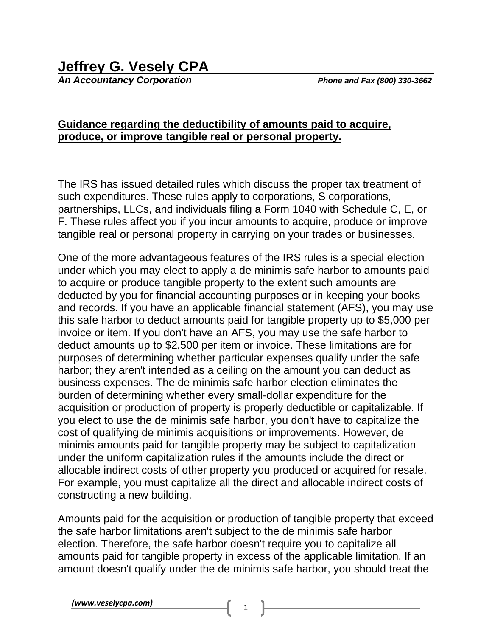## **Jeffrey G. Vesely CPA**

*An Accountancy Corporation Phone and Fax (800) 330-3662*

## **Guidance regarding the deductibility of amounts paid to acquire, produce, or improve tangible real or personal property.**

The IRS has issued detailed rules which discuss the proper tax treatment of such expenditures. These rules apply to corporations, S corporations, partnerships, LLCs, and individuals filing a Form 1040 with Schedule C, E, or F. These rules affect you if you incur amounts to acquire, produce or improve tangible real or personal property in carrying on your trades or businesses.

One of the more advantageous features of the IRS rules is a special election under which you may elect to apply a de minimis safe harbor to amounts paid to acquire or produce tangible property to the extent such amounts are deducted by you for financial accounting purposes or in keeping your books and records. If you have an applicable financial statement (AFS), you may use this safe harbor to deduct amounts paid for tangible property up to \$5,000 per invoice or item. If you don't have an AFS, you may use the safe harbor to deduct amounts up to \$2,500 per item or invoice. These limitations are for purposes of determining whether particular expenses qualify under the safe harbor; they aren't intended as a ceiling on the amount you can deduct as business expenses. The de minimis safe harbor election eliminates the burden of determining whether every small-dollar expenditure for the acquisition or production of property is properly deductible or capitalizable. If you elect to use the de minimis safe harbor, you don't have to capitalize the cost of qualifying de minimis acquisitions or improvements. However, de minimis amounts paid for tangible property may be subject to capitalization under the uniform capitalization rules if the amounts include the direct or allocable indirect costs of other property you produced or acquired for resale. For example, you must capitalize all the direct and allocable indirect costs of constructing a new building.

Amounts paid for the acquisition or production of tangible property that exceed the safe harbor limitations aren't subject to the de minimis safe harbor election. Therefore, the safe harbor doesn't require you to capitalize all amounts paid for tangible property in excess of the applicable limitation. If an amount doesn't qualify under the de minimis safe harbor, you should treat the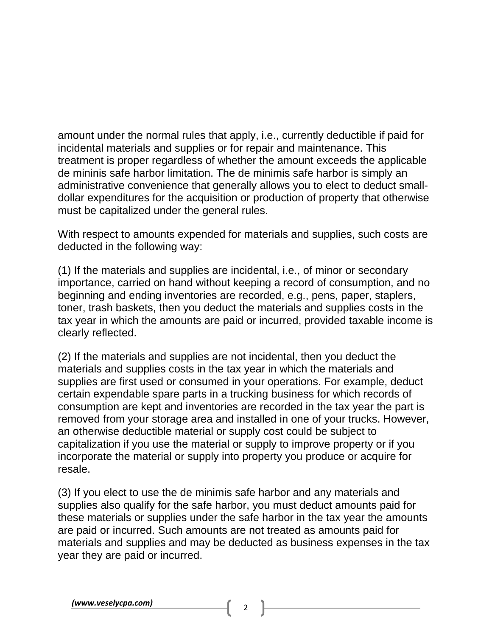amount under the normal rules that apply, i.e., currently deductible if paid for incidental materials and supplies or for repair and maintenance. This treatment is proper regardless of whether the amount exceeds the applicable de mininis safe harbor limitation. The de minimis safe harbor is simply an administrative convenience that generally allows you to elect to deduct smalldollar expenditures for the acquisition or production of property that otherwise must be capitalized under the general rules.

With respect to amounts expended for materials and supplies, such costs are deducted in the following way:

(1) If the materials and supplies are incidental, i.e., of minor or secondary importance, carried on hand without keeping a record of consumption, and no beginning and ending inventories are recorded, e.g., pens, paper, staplers, toner, trash baskets, then you deduct the materials and supplies costs in the tax year in which the amounts are paid or incurred, provided taxable income is clearly reflected.

(2) If the materials and supplies are not incidental, then you deduct the materials and supplies costs in the tax year in which the materials and supplies are first used or consumed in your operations. For example, deduct certain expendable spare parts in a trucking business for which records of consumption are kept and inventories are recorded in the tax year the part is removed from your storage area and installed in one of your trucks. However, an otherwise deductible material or supply cost could be subject to capitalization if you use the material or supply to improve property or if you incorporate the material or supply into property you produce or acquire for resale.

(3) If you elect to use the de minimis safe harbor and any materials and supplies also qualify for the safe harbor, you must deduct amounts paid for these materials or supplies under the safe harbor in the tax year the amounts are paid or incurred. Such amounts are not treated as amounts paid for materials and supplies and may be deducted as business expenses in the tax year they are paid or incurred.